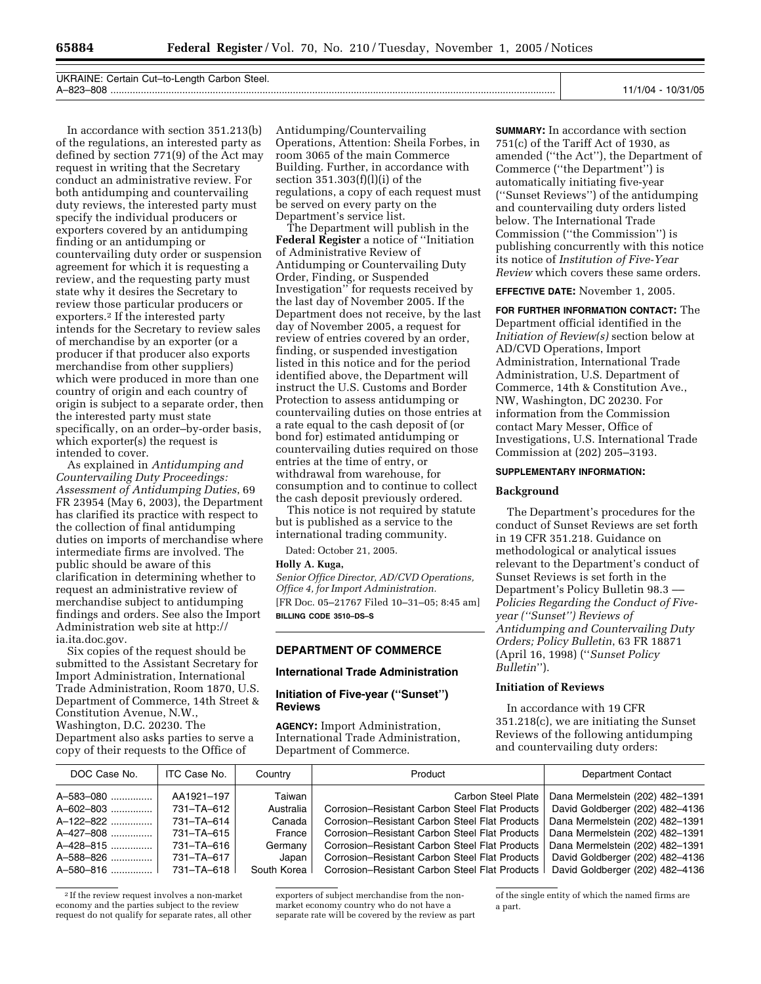UKRAINE: Certain Cut–to-Length Carbon Steel. A–823–808 ................................................................................................................................................................. 11/1/04 - 10/31/05

In accordance with section 351.213(b) of the regulations, an interested party as defined by section 771(9) of the Act may request in writing that the Secretary conduct an administrative review. For both antidumping and countervailing duty reviews, the interested party must specify the individual producers or exporters covered by an antidumping finding or an antidumping or countervailing duty order or suspension agreement for which it is requesting a review, and the requesting party must state why it desires the Secretary to review those particular producers or exporters.2 If the interested party intends for the Secretary to review sales of merchandise by an exporter (or a producer if that producer also exports merchandise from other suppliers) which were produced in more than one country of origin and each country of origin is subject to a separate order, then the interested party must state specifically, on an order–by-order basis, which exporter(s) the request is intended to cover.

As explained in *Antidumping and Countervailing Duty Proceedings: Assessment of Antidumping Duties*, 69 FR 23954 (May 6, 2003), the Department has clarified its practice with respect to the collection of final antidumping duties on imports of merchandise where intermediate firms are involved. The public should be aware of this clarification in determining whether to request an administrative review of merchandise subject to antidumping findings and orders. See also the Import Administration web site at http:// ia.ita.doc.gov.

Six copies of the request should be submitted to the Assistant Secretary for Import Administration, International Trade Administration, Room 1870, U.S. Department of Commerce, 14th Street & Constitution Avenue, N.W., Washington, D.C. 20230. The Department also asks parties to serve a copy of their requests to the Office of

Antidumping/Countervailing Operations, Attention: Sheila Forbes, in room 3065 of the main Commerce Building. Further, in accordance with section 351.303(f)(l)(i) of the regulations, a copy of each request must be served on every party on the Department's service list.

The Department will publish in the **Federal Register** a notice of ''Initiation of Administrative Review of Antidumping or Countervailing Duty Order, Finding, or Suspended Investigation'' for requests received by the last day of November 2005. If the Department does not receive, by the last day of November 2005, a request for review of entries covered by an order, finding, or suspended investigation listed in this notice and for the period identified above, the Department will instruct the U.S. Customs and Border Protection to assess antidumping or countervailing duties on those entries at a rate equal to the cash deposit of (or bond for) estimated antidumping or countervailing duties required on those entries at the time of entry, or withdrawal from warehouse, for consumption and to continue to collect the cash deposit previously ordered.

This notice is not required by statute but is published as a service to the international trading community.

Dated: October 21, 2005.

**Holly A. Kuga,** 

*Senior Office Director, AD/CVD Operations, Office 4, for Import Administration.*  [FR Doc. 05–21767 Filed 10–31–05; 8:45 am] **BILLING CODE 3510–DS–S** 

**DEPARTMENT OF COMMERCE** 

### **International Trade Administration**

# **Initiation of Five-year (''Sunset'') Reviews**

**AGENCY:** Import Administration, International Trade Administration, Department of Commerce.

**SUMMARY:** In accordance with section 751(c) of the Tariff Act of 1930, as amended (''the Act''), the Department of Commerce (''the Department'') is automatically initiating five-year (''Sunset Reviews'') of the antidumping and countervailing duty orders listed below. The International Trade Commission (''the Commission'') is publishing concurrently with this notice its notice of *Institution of Five-Year Review* which covers these same orders.

**EFFECTIVE DATE:** November 1, 2005.

**FOR FURTHER INFORMATION CONTACT:** The Department official identified in the *Initiation of Review(s)* section below at AD/CVD Operations, Import Administration, International Trade Administration, U.S. Department of Commerce, 14th & Constitution Ave., NW, Washington, DC 20230. For information from the Commission contact Mary Messer, Office of Investigations, U.S. International Trade Commission at (202) 205–3193.

#### **SUPPLEMENTARY INFORMATION:**

#### **Background**

The Department's procedures for the conduct of Sunset Reviews are set forth in 19 CFR 351.218. Guidance on methodological or analytical issues relevant to the Department's conduct of Sunset Reviews is set forth in the Department's Policy Bulletin 98.3 –– *Policies Regarding the Conduct of Fiveyear (''Sunset'') Reviews of Antidumping and Countervailing Duty Orders; Policy Bulletin*, 63 FR 18871 (April 16, 1998) (''*Sunset Policy Bulletin*'').

# **Initiation of Reviews**

In accordance with 19 CFR 351.218(c), we are initiating the Sunset Reviews of the following antidumping and countervailing duty orders:

| DOC Case No. | ITC Case No. | Country     | Product                                        | <b>Department Contact</b>       |
|--------------|--------------|-------------|------------------------------------------------|---------------------------------|
| A-583-080    | AA1921-197   | Taiwan      | Carbon Steel Plate                             | Dana Mermelstein (202) 482-1391 |
| A-602-803    | 731-TA-612   | Australia   | Corrosion-Resistant Carbon Steel Flat Products | David Goldberger (202) 482-4136 |
| A-122-822    | 731-TA-614   | Canada      | Corrosion-Resistant Carbon Steel Flat Products | Dana Mermelstein (202) 482-1391 |
| A-427-808    | 731-TA-615   | France      | Corrosion-Resistant Carbon Steel Flat Products | Dana Mermelstein (202) 482-1391 |
| A-428-815    | 731-TA-616   | Germany     | Corrosion-Resistant Carbon Steel Flat Products | Dana Mermelstein (202) 482-1391 |
| A-588-826    | 731-TA-617   | Japan       | Corrosion-Resistant Carbon Steel Flat Products | David Goldberger (202) 482-4136 |
| A-580-816    | 731-TA-618   | South Korea | Corrosion–Resistant Carbon Steel Flat Products | David Goldberger (202) 482-4136 |

<sup>2</sup> If the review request involves a non-market economy and the parties subject to the review request do not qualify for separate rates, all other

exporters of subject merchandise from the nonmarket economy country who do not have a separate rate will be covered by the review as part of the single entity of which the named firms are a part.